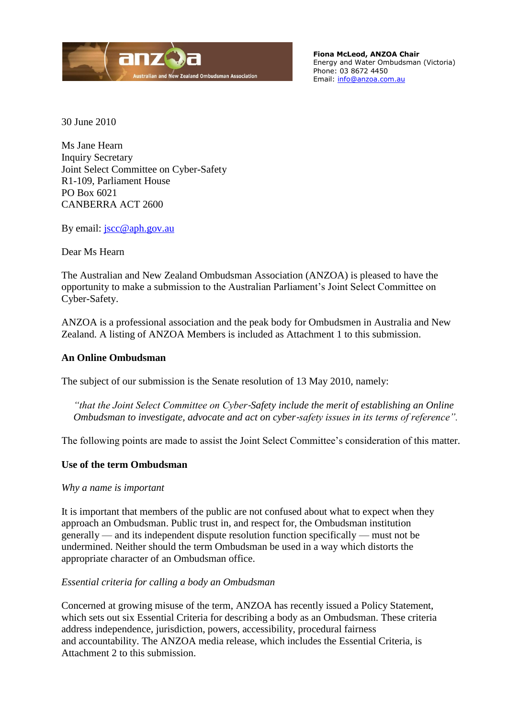

**Fiona McLeod, ANZOA Chair** Energy and Water Ombudsman (Victoria) Phone: 03 8672 4450 Email: [info@anzoa.com.au](mailto:info@anzoa.com.au)

30 June 2010

Ms Jane Hearn Inquiry Secretary Joint Select Committee on Cyber-Safety R1-109, Parliament House PO Box 6021 CANBERRA ACT 2600

By email: [jscc@aph.gov.au](mailto:jscc@aph.gov.au)

Dear Ms Hearn

The Australian and New Zealand Ombudsman Association (ANZOA) is pleased to have the opportunity to make a submission to the Australian Parliament's Joint Select Committee on Cyber-Safety.

ANZOA is a professional association and the peak body for Ombudsmen in Australia and New Zealand. A listing of ANZOA Members is included as Attachment 1 to this submission.

# **An Online Ombudsman**

The subject of our submission is the Senate resolution of 13 May 2010, namely:

*"that the Joint Select Committee on Cyber*‐*Safety include the merit of establishing an Online Ombudsman to investigate, advocate and act on cyber*‐*safety issues in its terms of reference".* 

The following points are made to assist the Joint Select Committee's consideration of this matter.

# **Use of the term Ombudsman**

*Why a name is important*

It is important that members of the public are not confused about what to expect when they approach an Ombudsman. Public trust in, and respect for, the Ombudsman institution generally — and its independent dispute resolution function specifically — must not be undermined. Neither should the term Ombudsman be used in a way which distorts the appropriate character of an Ombudsman office.

# *Essential criteria for calling a body an Ombudsman*

Concerned at growing misuse of the term, ANZOA has recently issued a Policy Statement, which sets out six Essential Criteria for describing a body as an Ombudsman. These criteria address independence, jurisdiction, powers, accessibility, procedural fairness and accountability. The ANZOA media release, which includes the Essential Criteria, is Attachment 2 to this submission.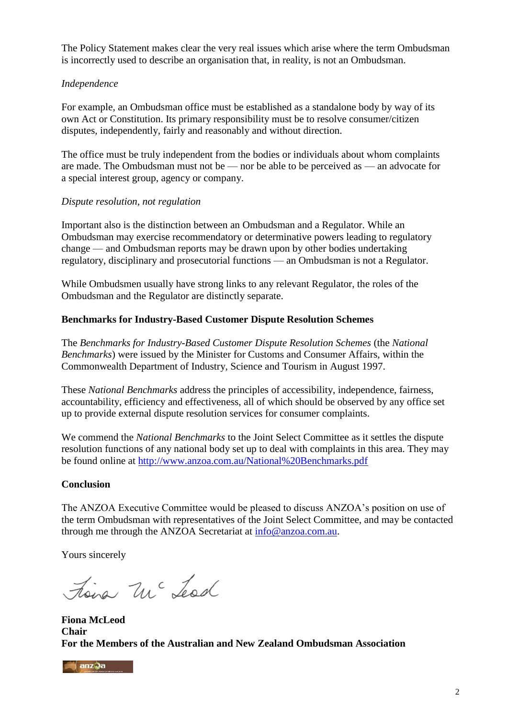The Policy Statement makes clear the very real issues which arise where the term Ombudsman is incorrectly used to describe an organisation that, in reality, is not an Ombudsman.

# *Independence*

For example, an Ombudsman office must be established as a standalone body by way of its own Act or Constitution. Its primary responsibility must be to resolve consumer/citizen disputes, independently, fairly and reasonably and without direction.

The office must be truly independent from the bodies or individuals about whom complaints are made. The Ombudsman must not be — nor be able to be perceived as — an advocate for a special interest group, agency or company.

# *Dispute resolution, not regulation*

Important also is the distinction between an Ombudsman and a Regulator. While an Ombudsman may exercise recommendatory or determinative powers leading to regulatory change — and Ombudsman reports may be drawn upon by other bodies undertaking regulatory, disciplinary and prosecutorial functions — an Ombudsman is not a Regulator.

While Ombudsmen usually have strong links to any relevant Regulator, the roles of the Ombudsman and the Regulator are distinctly separate.

# **Benchmarks for Industry-Based Customer Dispute Resolution Schemes**

The *Benchmarks for Industry-Based Customer Dispute Resolution Schemes* (the *National Benchmarks*) were issued by the Minister for Customs and Consumer Affairs, within the Commonwealth Department of Industry, Science and Tourism in August 1997.

These *National Benchmarks* address the principles of accessibility, independence, fairness, accountability, efficiency and effectiveness, all of which should be observed by any office set up to provide external dispute resolution services for consumer complaints.

We commend the *National Benchmarks* to the Joint Select Committee as it settles the dispute resolution functions of any national body set up to deal with complaints in this area. They may be found online at <http://www.anzoa.com.au/National%20Benchmarks.pdf>

# **Conclusion**

The ANZOA Executive Committee would be pleased to discuss ANZOA's position on use of the term Ombudsman with representatives of the Joint Select Committee, and may be contacted through me through the ANZOA Secretariat at [info@anzoa.com.au.](mailto:info@anzoa.com.au)

Yours sincerely

tiena mc Lesd

**Fiona McLeod Chair For the Members of the Australian and New Zealand Ombudsman Association** 

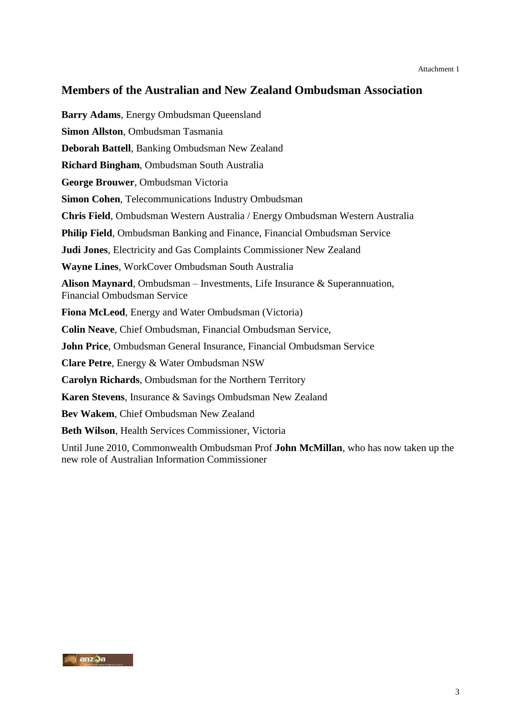# **Members of the Australian and New Zealand Ombudsman Association**

**Barry Adams**, Energy Ombudsman Queensland **Simon Allston**, Ombudsman Tasmania **Deborah Battell**, Banking Ombudsman New Zealand **Richard Bingham**, Ombudsman South Australia **George Brouwer**, Ombudsman Victoria **Simon Cohen**, Telecommunications Industry Ombudsman **Chris Field**, Ombudsman Western Australia / Energy Ombudsman Western Australia **Philip Field**, Ombudsman Banking and Finance, Financial Ombudsman Service **Judi Jones**, Electricity and Gas Complaints Commissioner New Zealand **Wayne Lines**, WorkCover Ombudsman South Australia **Alison Maynard**, Ombudsman – Investments, Life Insurance & Superannuation, Financial Ombudsman Service **Fiona McLeod**, Energy and Water Ombudsman (Victoria) **Colin Neave**, Chief Ombudsman, Financial Ombudsman Service, **John Price**, Ombudsman General Insurance, Financial Ombudsman Service **Clare Petre**, Energy & Water Ombudsman NSW **Carolyn Richards**, Ombudsman for the Northern Territory **Karen Stevens**, Insurance & Savings Ombudsman New Zealand **Bev Wakem**, Chief Ombudsman New Zealand **Beth Wilson**, Health Services Commissioner, Victoria Until June 2010, Commonwealth Ombudsman Prof **John McMillan**, who has now taken up the

new role of Australian Information Commissioner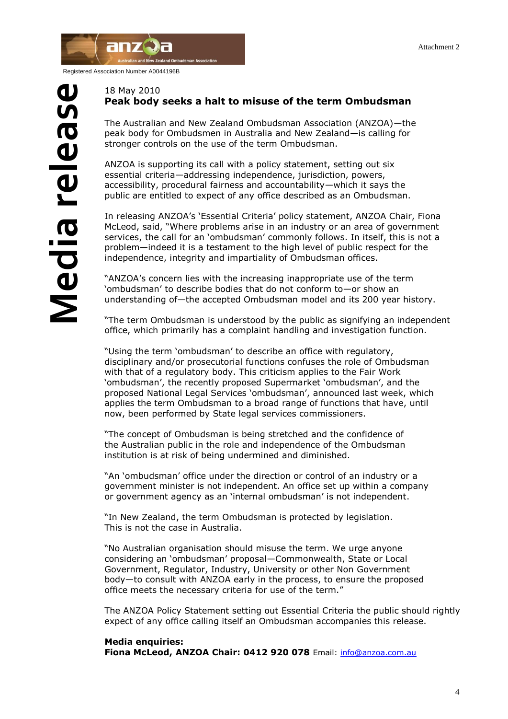

Registered Association Number A0044196B

#### 18 May 2010 **Peak body seeks a halt to misuse of the term Ombudsman**

The Australian and New Zealand Ombudsman Association (ANZOA)—the peak body for Ombudsmen in Australia and New Zealand—is calling for stronger controls on the use of the term Ombudsman.

ANZOA is supporting its call with a policy statement, setting out six essential criteria—addressing independence, jurisdiction, powers, accessibility, procedural fairness and accountability—which it says the public are entitled to expect of any office described as an Ombudsman.

In releasing ANZOA"s "Essential Criteria" policy statement, ANZOA Chair, Fiona McLeod, said, "Where problems arise in an industry or an area of government services, the call for an "ombudsman" commonly follows. In itself, this is not a problem—indeed it is a testament to the high level of public respect for the independence, integrity and impartiality of Ombudsman offices.

"ANZOA's concern lies with the increasing inappropriate use of the term "ombudsman" to describe bodies that do not conform to—or show an understanding of—the accepted Ombudsman model and its 200 year history.

"The term Ombudsman is understood by the public as signifying an independent office, which primarily has a complaint handling and investigation function.

"Using the term "ombudsman" to describe an office with regulatory, disciplinary and/or prosecutorial functions confuses the role of Ombudsman with that of a regulatory body. This criticism applies to the Fair Work 'ombudsman', the recently proposed Supermarket 'ombudsman', and the proposed National Legal Services "ombudsman", announced last week, which applies the term Ombudsman to a broad range of functions that have, until now, been performed by State legal services commissioners.

"The concept of Ombudsman is being stretched and the confidence of the Australian public in the role and independence of the Ombudsman institution is at risk of being undermined and diminished.

"An "ombudsman" office under the direction or control of an industry or a government minister is not independent. An office set up within a company or government agency as an "internal ombudsman" is not independent.

"In New Zealand, the term Ombudsman is protected by legislation. This is not the case in Australia.

"No Australian organisation should misuse the term. We urge anyone considering an "ombudsman" proposal—Commonwealth, State or Local Government, Regulator, Industry, University or other Non Government body—to consult with ANZOA early in the process, to ensure the proposed office meets the necessary criteria for use of the term."

The ANZOA Policy Statement setting out Essential Criteria the public should rightly expect of any office calling itself an Ombudsman accompanies this release.

#### **Media enquiries:**

**Fiona McLeod, ANZOA Chair: 0412 920 078** Email: [info@anzoa.com.au](mailto:info@anzoa.com.au)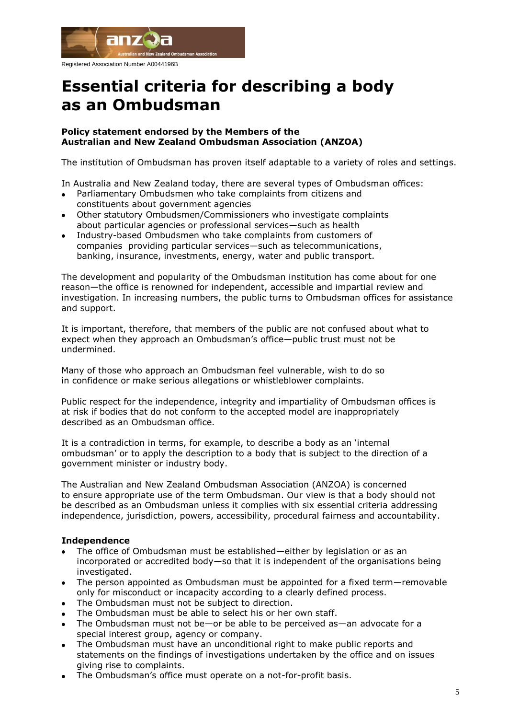

Registered Association Number A0044196B

# **Essential criteria for describing a body as an Ombudsman**

#### **Policy statement endorsed by the Members of the Australian and New Zealand Ombudsman Association (ANZOA)**

The institution of Ombudsman has proven itself adaptable to a variety of roles and settings.

In Australia and New Zealand today, there are several types of Ombudsman offices:

- Parliamentary Ombudsmen who take complaints from citizens and constituents about government agencies
- Other statutory Ombudsmen/Commissioners who investigate complaints about particular agencies or professional services—such as health
- Industry-based Ombudsmen who take complaints from customers of companies providing particular services—such as telecommunications, banking, insurance, investments, energy, water and public transport.

The development and popularity of the Ombudsman institution has come about for one reason—the office is renowned for independent, accessible and impartial review and investigation. In increasing numbers, the public turns to Ombudsman offices for assistance and support.

It is important, therefore, that members of the public are not confused about what to expect when they approach an Ombudsman's office—public trust must not be undermined.

Many of those who approach an Ombudsman feel vulnerable, wish to do so in confidence or make serious allegations or whistleblower complaints.

Public respect for the independence, integrity and impartiality of Ombudsman offices is at risk if bodies that do not conform to the accepted model are inappropriately described as an Ombudsman office.

It is a contradiction in terms, for example, to describe a body as an "internal ombudsman" or to apply the description to a body that is subject to the direction of a government minister or industry body.

The Australian and New Zealand Ombudsman Association (ANZOA) is concerned to ensure appropriate use of the term Ombudsman. Our view is that a body should not be described as an Ombudsman unless it complies with six essential criteria addressing independence, jurisdiction, powers, accessibility, procedural fairness and accountability.

# **Independence**

- The office of Ombudsman must be established—either by legislation or as an incorporated or accredited body—so that it is independent of the organisations being investigated.
- The person appointed as Ombudsman must be appointed for a fixed term—removable only for misconduct or incapacity according to a clearly defined process.
- The Ombudsman must not be subject to direction.
- The Ombudsman must be able to select his or her own staff.
- The Ombudsman must not be—or be able to be perceived as—an advocate for a special interest group, agency or company.
- The Ombudsman must have an unconditional right to make public reports and statements on the findings of investigations undertaken by the office and on issues giving rise to complaints.
- The Ombudsman"s office must operate on a not-for-profit basis.